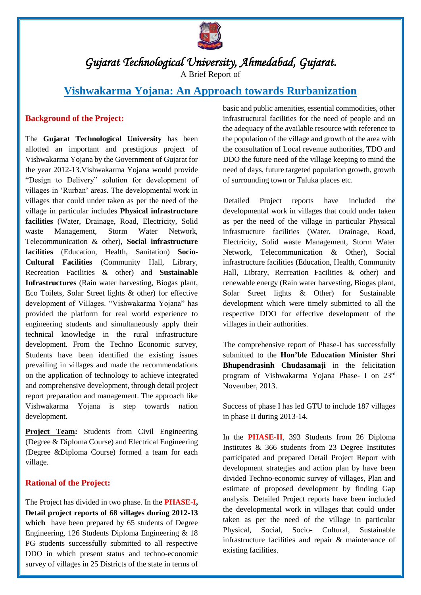

# *Gujarat Technological University, Ahmedabad, Gujarat.*

A Brief Report of

# **Vishwakarma Yojana: An Approach towards Rurbanization**

# **Background of the Project:**

The **Gujarat Technological University** has been allotted an important and prestigious project of Vishwakarma Yojana by the Government of Gujarat for the year 2012-13.Vishwakarma Yojana would provide "Design to Delivery" solution for development of villages in 'Rurban' areas. The developmental work in villages that could under taken as per the need of the village in particular includes **Physical infrastructure facilities** (Water, Drainage, Road, Electricity, Solid waste Management, Storm Water Network, Telecommunication & other), **Social infrastructure facilities** (Education, Health, Sanitation) **Socio-Cultural Facilities** (Community Hall, Library, Recreation Facilities & other) and **Sustainable Infrastructures** (Rain water harvesting, Biogas plant, Eco Toilets, Solar Street lights & other) for effective development of Villages. "Vishwakarma Yojana" has provided the platform for real world experience to engineering students and simultaneously apply their technical knowledge in the rural infrastructure development. From the Techno Economic survey, Students have been identified the existing issues prevailing in villages and made the recommendations on the application of technology to achieve integrated and comprehensive development, through detail project report preparation and management. The approach like Vishwakarma Yojana is step towards nation development.

Project Team: Students from Civil Engineering (Degree & Diploma Course) and Electrical Engineering (Degree &Diploma Course) formed a team for each village.

# **Rational of the Project:**

The Project has divided in two phase. In the **PHASE-I, Detail project reports of 68 villages during 2012-13**  which have been prepared by 65 students of Degree Engineering, 126 Students Diploma Engineering & 18 PG students successfully submitted to all respective DDO in which present status and techno-economic survey of villages in 25 Districts of the state in terms of basic and public amenities, essential commodities, other infrastructural facilities for the need of people and on the adequacy of the available resource with reference to the population of the village and growth of the area with the consultation of Local revenue authorities, TDO and DDO the future need of the village keeping to mind the need of days, future targeted population growth, growth of surrounding town or Taluka places etc.

Detailed Project reports have included the developmental work in villages that could under taken as per the need of the village in particular Physical infrastructure facilities (Water, Drainage, Road, Electricity, Solid waste Management, Storm Water Network, Telecommunication & Other), Social infrastructure facilities (Education, Health, Community Hall, Library, Recreation Facilities & other) and renewable energy (Rain water harvesting, Biogas plant, Solar Street lights & Other) for Sustainable development which were timely submitted to all the respective DDO for effective development of the villages in their authorities.

The comprehensive report of Phase-I has successfully submitted to the **Hon'ble Education Minister Shri Bhupendrasinh Chudasamaji** in the felicitation program of Vishwakarma Yojana Phase- I on 23rd November, 2013.

Success of phase I has led GTU to include 187 villages in phase II during 2013-14.

In the **PHASE-II**, 393 Students from 26 Diploma Institutes & 366 students from 23 Degree Institutes participated and prepared Detail Project Report with development strategies and action plan by have been divided Techno-economic survey of villages, Plan and estimate of proposed development by finding Gap analysis. Detailed Project reports have been included the developmental work in villages that could under taken as per the need of the village in particular Physical, Social, Socio- Cultural, Sustainable infrastructure facilities and repair & maintenance of existing facilities.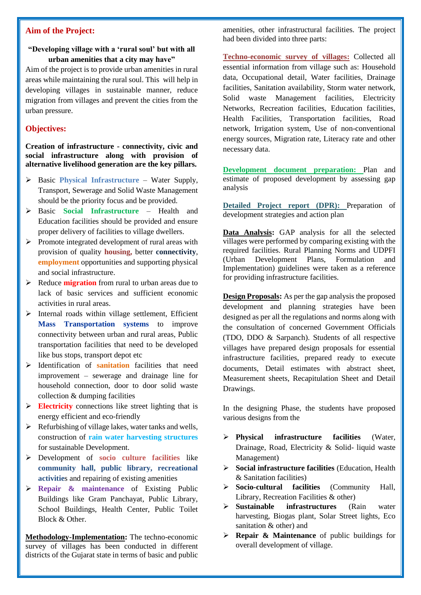### **Aim of the Project:**

### **"Developing village with a 'rural soul' but with all urban amenities that a city may have"**

Aim of the project is to provide urban amenities in rural areas while maintaining the rural soul. This will help in developing villages in sustainable manner, reduce migration from villages and prevent the cities from the urban pressure.

# **Objectives:**

**Creation of infrastructure - connectivity, civic and social infrastructure along with provision of alternative livelihood generation are the key pillars.**

- Basic **Physical Infrastructure** Water Supply, Transport, Sewerage and Solid Waste Management should be the priority focus and be provided.
- Basic **Social Infrastructure** Health and Education facilities should be provided and ensure proper delivery of facilities to village dwellers.
- $\triangleright$  Promote integrated development of rural areas with provision of quality **housing,** better **connectivity**, **employment** opportunities and supporting physical and social infrastructure.
- Reduce **migration** from rural to urban areas due to lack of basic services and sufficient economic activities in rural areas.
- $\triangleright$  Internal roads within village settlement, Efficient **Mass Transportation systems** to improve connectivity between urban and rural areas, Public transportation facilities that need to be developed like bus stops, transport depot etc
- Identification of **sanitation** facilities that need improvement – sewerage and drainage line for household connection, door to door solid waste collection & dumping facilities
- **Electricity** connections like street lighting that is energy efficient and eco-friendly
- $\triangleright$  Refurbishing of village lakes, water tanks and wells, construction of **rain water harvesting structures**  for sustainable Development.
- Development of **socio culture facilities** like **community hall, public library, recreational activitie**s and repairing of existing amenities
- **Repair & maintenance** of Existing Public Buildings like Gram Panchayat, Public Library, School Buildings, Health Center, Public Toilet Block & Other.

**Methodology-Implementation:** The techno-economic survey of villages has been conducted in different districts of the Gujarat state in terms of basic and public

amenities, other infrastructural facilities. The project had been divided into three parts:

**Techno-economic survey of villages:** Collected all essential information from village such as: Household data, Occupational detail, Water facilities, Drainage facilities, Sanitation availability, Storm water network, Solid waste Management facilities, Electricity Networks, Recreation facilities, Education facilities, Health Facilities, Transportation facilities, Road network, Irrigation system, Use of non-conventional energy sources, Migration rate, Literacy rate and other necessary data.

**Development document preparation:** Plan and estimate of proposed development by assessing gap analysis

**Detailed Project report (DPR):** Preparation of development strategies and action plan

**Data Analysis:** GAP analysis for all the selected villages were performed by comparing existing with the required facilities. Rural Planning Norms and UDPFI (Urban Development Plans, Formulation and Implementation) guidelines were taken as a reference for providing infrastructure facilities.

**Design Proposals:** As per the gap analysis the proposed development and planning strategies have been designed as per all the regulations and norms along with the consultation of concerned Government Officials (TDO, DDO & Sarpanch). Students of all respective villages have prepared design proposals for essential infrastructure facilities, prepared ready to execute documents, Detail estimates with abstract sheet, Measurement sheets, Recapitulation Sheet and Detail Drawings.

In the designing Phase, the students have proposed various designs from the

- **Physical infrastructure facilities** (Water, Drainage, Road, Electricity & Solid- liquid waste Management)
- **Social infrastructure facilities** (Education, Health & Sanitation facilities)
- **Socio-cultural facilities** (Community Hall, Library, Recreation Facilities & other)
- **Sustainable infrastructures** (Rain water harvesting, Biogas plant, Solar Street lights, Eco sanitation & other) and
- **Repair & Maintenance** of public buildings for overall development of village.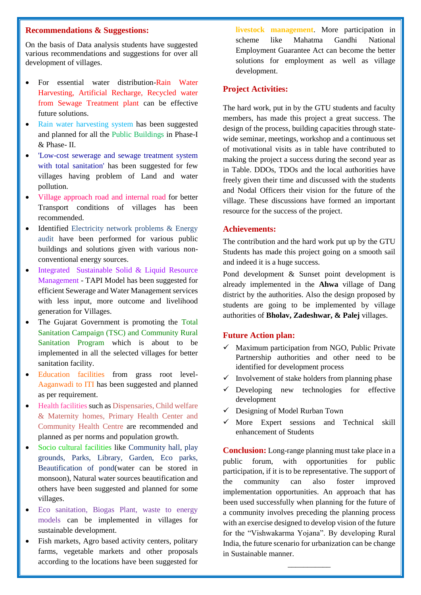#### **Recommendations & Suggestions:**

On the basis of Data analysis students have suggested various recommendations and suggestions for over all development of villages.

- For essential water distribution-Rain Water Harvesting, Artificial Recharge, Recycled water from Sewage Treatment plant can be effective future solutions.
- Rain water harvesting system has been suggested and planned for all the Public Buildings in Phase-I & Phase- II.
- 'Low-cost sewerage and sewage treatment system with total sanitation' has been suggested for few villages having problem of Land and water pollution.
- Village approach road and internal road for better Transport conditions of villages has been recommended.
- Identified Electricity network problems & Energy audit have been performed for various public buildings and solutions given with various nonconventional energy sources.
- Integrated Sustainable Solid & Liquid Resource Management - TAPI Model has been suggested for efficient Sewerage and Water Management services with less input, more outcome and livelihood generation for Villages.
- The Gujarat Government is promoting the Total Sanitation Campaign (TSC) and Community Rural Sanitation Program which is about to be implemented in all the selected villages for better sanitation facility.
- Education facilities from grass root level-Aaganwadi to ITI has been suggested and planned as per requirement.
- Health facilities such as Dispensaries, Child welfare & Maternity homes, Primary Health Center and Community Health Centre are recommended and planned as per norms and population growth.
- Socio cultural facilities like Community hall, play grounds, Parks, Library, Garden, Eco parks, Beautification of pond(water can be stored in monsoon), Natural water sources beautification and others have been suggested and planned for some villages.
- Eco sanitation, Biogas Plant, waste to energy models can be implemented in villages for sustainable development.
- Fish markets, Agro based activity centers, politary farms, vegetable markets and other proposals according to the locations have been suggested for

**livestock management**. More participation in scheme like Mahatma Gandhi National Employment Guarantee Act can become the better solutions for employment as well as village development.

### **Project Activities:**

The hard work, put in by the GTU students and faculty members, has made this project a great success. The design of the process, building capacities through statewide seminar, meetings, workshop and a continuous set of motivational visits as in table have contributed to making the project a success during the second year as in Table. DDOs, TDOs and the local authorities have freely given their time and discussed with the students and Nodal Officers their vision for the future of the village. These discussions have formed an important resource for the success of the project.

# **Achievements:**

The contribution and the hard work put up by the GTU Students has made this project going on a smooth sail and indeed it is a huge success.

Pond development & Sunset point development is already implemented in the **Ahwa** village of Dang district by the authorities. Also the design proposed by students are going to be implemented by village authorities of **Bholav, Zadeshwar, & Palej** villages.

#### **Future Action plan:**

- $\checkmark$  Maximum participation from NGO, Public Private Partnership authorities and other need to be identified for development process
- $\checkmark$  Involvement of stake holders from planning phase
- $\checkmark$  Developing new technologies for effective development
- $\checkmark$  Designing of Model Rurban Town
- $\checkmark$  More Expert sessions and Technical skill enhancement of Students

**Conclusion:** Long-range planning must take place in a public forum, with opportunities for public participation, if it is to be representative. The support of the community can also foster improved implementation opportunities. An approach that has been used successfully when planning for the future of a community involves preceding the planning process with an exercise designed to develop vision of the future for the "Vishwakarma Yojana". By developing Rural India, the future scenario for urbanization can be change in Sustainable manner.

\_\_\_\_\_\_\_\_\_\_\_